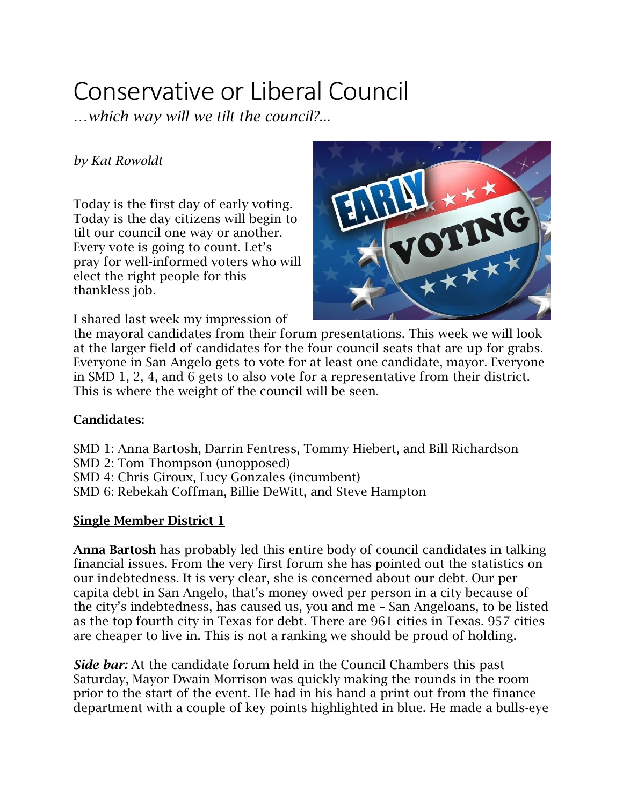# Conservative or Liberal Council

*…which way will we tilt the council?...*

### *by Kat Rowoldt*

Today is the first day of early voting. Today is the day citizens will begin to tilt our council one way or another. Every vote is going to count. Let's pray for well-informed voters who will elect the right people for this thankless job.

I shared last week my impression of



the mayoral candidates from their forum presentations. This week we will look at the larger field of candidates for the four council seats that are up for grabs. Everyone in San Angelo gets to vote for at least one candidate, mayor. Everyone in SMD 1, 2, 4, and 6 gets to also vote for a representative from their district. This is where the weight of the council will be seen.

## **Candidates:**

- SMD 1: Anna Bartosh, Darrin Fentress, Tommy Hiebert, and Bill Richardson
- SMD 2: Tom Thompson (unopposed)
- SMD 4: Chris Giroux, Lucy Gonzales (incumbent)
- SMD 6: Rebekah Coffman, Billie DeWitt, and Steve Hampton

#### **Single Member District 1**

**Anna Bartosh** has probably led this entire body of council candidates in talking financial issues. From the very first forum she has pointed out the statistics on our indebtedness. It is very clear, she is concerned about our debt. Our per capita debt in San Angelo, that's money owed per person in a city because of the city's indebtedness, has caused us, you and me – San Angeloans, to be listed as the top fourth city in Texas for debt. There are 961 cities in Texas. 957 cities are cheaper to live in. This is not a ranking we should be proud of holding.

*Side bar:* At the candidate forum held in the Council Chambers this past Saturday, Mayor Dwain Morrison was quickly making the rounds in the room prior to the start of the event. He had in his hand a print out from the finance department with a couple of key points highlighted in blue. He made a bulls-eye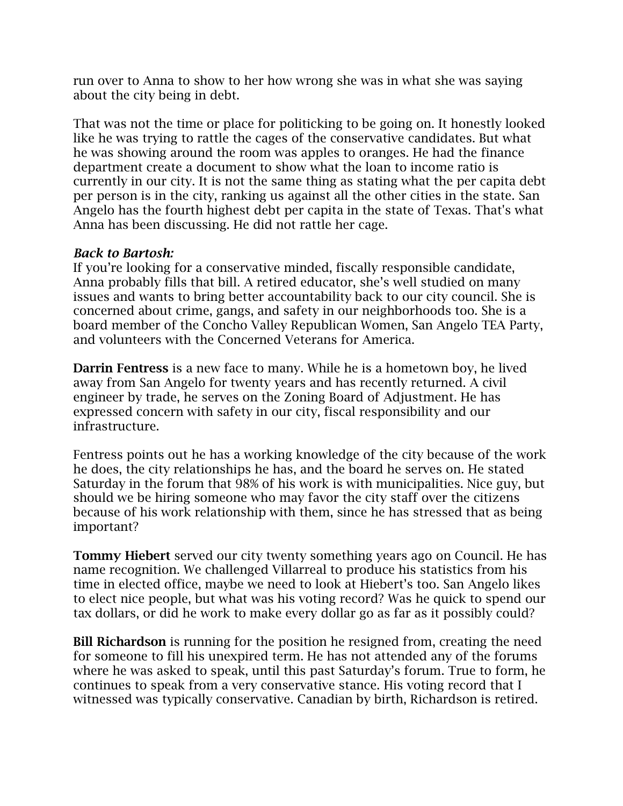run over to Anna to show to her how wrong she was in what she was saying about the city being in debt.

That was not the time or place for politicking to be going on. It honestly looked like he was trying to rattle the cages of the conservative candidates. But what he was showing around the room was apples to oranges. He had the finance department create a document to show what the loan to income ratio is currently in our city. It is not the same thing as stating what the per capita debt per person is in the city, ranking us against all the other cities in the state. San Angelo has the fourth highest debt per capita in the state of Texas. That's what Anna has been discussing. He did not rattle her cage.

#### *Back to Bartosh:*

If you're looking for a conservative minded, fiscally responsible candidate, Anna probably fills that bill. A retired educator, she's well studied on many issues and wants to bring better accountability back to our city council. She is concerned about crime, gangs, and safety in our neighborhoods too. She is a board member of the Concho Valley Republican Women, San Angelo TEA Party, and volunteers with the Concerned Veterans for America.

**Darrin Fentress** is a new face to many. While he is a hometown boy, he lived away from San Angelo for twenty years and has recently returned. A civil engineer by trade, he serves on the Zoning Board of Adjustment. He has expressed concern with safety in our city, fiscal responsibility and our infrastructure.

Fentress points out he has a working knowledge of the city because of the work he does, the city relationships he has, and the board he serves on. He stated Saturday in the forum that 98% of his work is with municipalities. Nice guy, but should we be hiring someone who may favor the city staff over the citizens because of his work relationship with them, since he has stressed that as being important?

**Tommy Hiebert** served our city twenty something years ago on Council. He has name recognition. We challenged Villarreal to produce his statistics from his time in elected office, maybe we need to look at Hiebert's too. San Angelo likes to elect nice people, but what was his voting record? Was he quick to spend our tax dollars, or did he work to make every dollar go as far as it possibly could?

**Bill Richardson** is running for the position he resigned from, creating the need for someone to fill his unexpired term. He has not attended any of the forums where he was asked to speak, until this past Saturday's forum. True to form, he continues to speak from a very conservative stance. His voting record that I witnessed was typically conservative. Canadian by birth, Richardson is retired.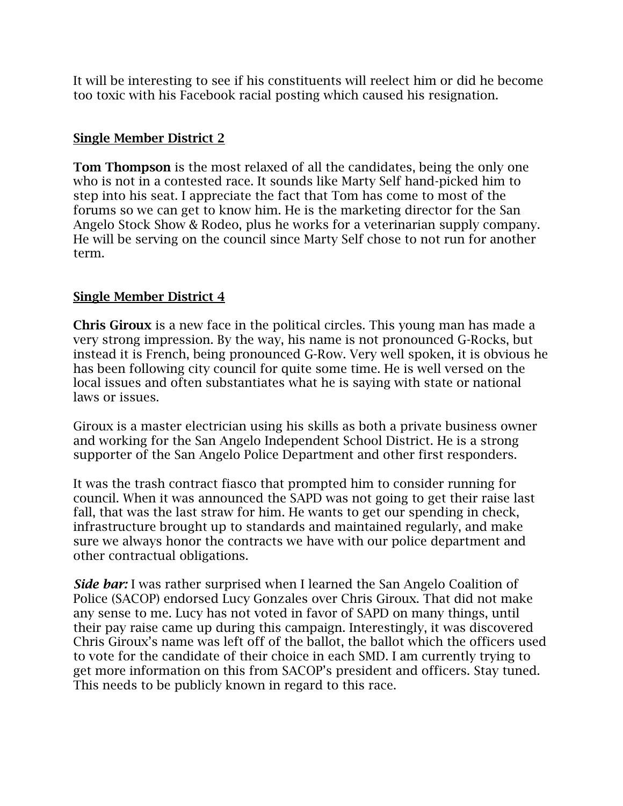It will be interesting to see if his constituents will reelect him or did he become too toxic with his Facebook racial posting which caused his resignation.

#### **Single Member District 2**

**Tom Thompson** is the most relaxed of all the candidates, being the only one who is not in a contested race. It sounds like Marty Self hand-picked him to step into his seat. I appreciate the fact that Tom has come to most of the forums so we can get to know him. He is the marketing director for the San Angelo Stock Show & Rodeo, plus he works for a veterinarian supply company. He will be serving on the council since Marty Self chose to not run for another term.

### **Single Member District 4**

**Chris Giroux** is a new face in the political circles. This young man has made a very strong impression. By the way, his name is not pronounced G-Rocks, but instead it is French, being pronounced G-Row. Very well spoken, it is obvious he has been following city council for quite some time. He is well versed on the local issues and often substantiates what he is saying with state or national laws or issues.

Giroux is a master electrician using his skills as both a private business owner and working for the San Angelo Independent School District. He is a strong supporter of the San Angelo Police Department and other first responders.

It was the trash contract fiasco that prompted him to consider running for council. When it was announced the SAPD was not going to get their raise last fall, that was the last straw for him. He wants to get our spending in check, infrastructure brought up to standards and maintained regularly, and make sure we always honor the contracts we have with our police department and other contractual obligations.

*Side bar:* I was rather surprised when I learned the San Angelo Coalition of Police (SACOP) endorsed Lucy Gonzales over Chris Giroux. That did not make any sense to me. Lucy has not voted in favor of SAPD on many things, until their pay raise came up during this campaign. Interestingly, it was discovered Chris Giroux's name was left off of the ballot, the ballot which the officers used to vote for the candidate of their choice in each SMD. I am currently trying to get more information on this from SACOP's president and officers. Stay tuned. This needs to be publicly known in regard to this race.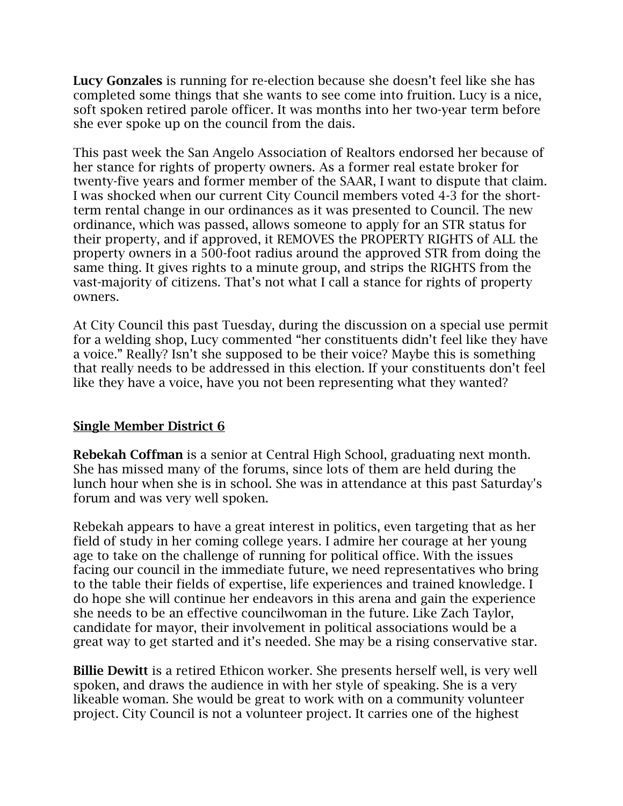**Lucy Gonzales** is running for re-election because she doesn't feel like she has completed some things that she wants to see come into fruition. Lucy is a nice, soft spoken retired parole officer. It was months into her two-year term before she ever spoke up on the council from the dais.

This past week the San Angelo Association of Realtors endorsed her because of her stance for rights of property owners. As a former real estate broker for twenty-five years and former member of the SAAR, I want to dispute that claim. I was shocked when our current City Council members voted 4-3 for the shortterm rental change in our ordinances as it was presented to Council. The new ordinance, which was passed, allows someone to apply for an STR status for their property, and if approved, it REMOVES the PROPERTY RIGHTS of ALL the property owners in a 500-foot radius around the approved STR from doing the same thing. It gives rights to a minute group, and strips the RIGHTS from the vast-majority of citizens. That's not what I call a stance for rights of property owners.

At City Council this past Tuesday, during the discussion on a special use permit for a welding shop, Lucy commented "her constituents didn't feel like they have a voice." Really? Isn't she supposed to be their voice? Maybe this is something that really needs to be addressed in this election. If your constituents don't feel like they have a voice, have you not been representing what they wanted?

#### **Single Member District 6**

**Rebekah Coffman** is a senior at Central High School, graduating next month. She has missed many of the forums, since lots of them are held during the lunch hour when she is in school. She was in attendance at this past Saturday's forum and was very well spoken.

Rebekah appears to have a great interest in politics, even targeting that as her field of study in her coming college years. I admire her courage at her young age to take on the challenge of running for political office. With the issues facing our council in the immediate future, we need representatives who bring to the table their fields of expertise, life experiences and trained knowledge. I do hope she will continue her endeavors in this arena and gain the experience she needs to be an effective councilwoman in the future. Like Zach Taylor, candidate for mayor, their involvement in political associations would be a great way to get started and it's needed. She may be a rising conservative star.

**Billie Dewitt** is a retired Ethicon worker. She presents herself well, is very well spoken, and draws the audience in with her style of speaking. She is a very likeable woman. She would be great to work with on a community volunteer project. City Council is not a volunteer project. It carries one of the highest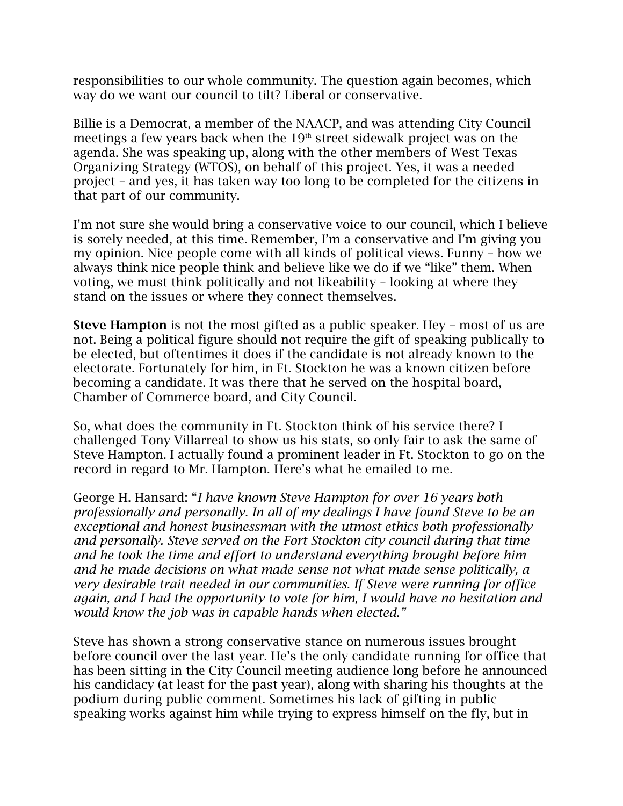responsibilities to our whole community. The question again becomes, which way do we want our council to tilt? Liberal or conservative.

Billie is a Democrat, a member of the NAACP, and was attending City Council meetings a few years back when the  $19<sup>th</sup>$  street sidewalk project was on the agenda. She was speaking up, along with the other members of West Texas Organizing Strategy (WTOS), on behalf of this project. Yes, it was a needed project – and yes, it has taken way too long to be completed for the citizens in that part of our community.

I'm not sure she would bring a conservative voice to our council, which I believe is sorely needed, at this time. Remember, I'm a conservative and I'm giving you my opinion. Nice people come with all kinds of political views. Funny – how we always think nice people think and believe like we do if we "like" them. When voting, we must think politically and not likeability – looking at where they stand on the issues or where they connect themselves.

**Steve Hampton** is not the most gifted as a public speaker. Hey – most of us are not. Being a political figure should not require the gift of speaking publically to be elected, but oftentimes it does if the candidate is not already known to the electorate. Fortunately for him, in Ft. Stockton he was a known citizen before becoming a candidate. It was there that he served on the hospital board, Chamber of Commerce board, and City Council.

So, what does the community in Ft. Stockton think of his service there? I challenged Tony Villarreal to show us his stats, so only fair to ask the same of Steve Hampton. I actually found a prominent leader in Ft. Stockton to go on the record in regard to Mr. Hampton. Here's what he emailed to me.

George H. Hansard: "*I have known Steve Hampton for over 16 years both professionally and personally. In all of my dealings I have found Steve to be an exceptional and honest businessman with the utmost ethics both professionally and personally. Steve served on the Fort Stockton city council during that time and he took the time and effort to understand everything brought before him and he made decisions on what made sense not what made sense politically, a very desirable trait needed in our communities. If Steve were running for office again, and I had the opportunity to vote for him, I would have no hesitation and would know the job was in capable hands when elected."*

Steve has shown a strong conservative stance on numerous issues brought before council over the last year. He's the only candidate running for office that has been sitting in the City Council meeting audience long before he announced his candidacy (at least for the past year), along with sharing his thoughts at the podium during public comment. Sometimes his lack of gifting in public speaking works against him while trying to express himself on the fly, but in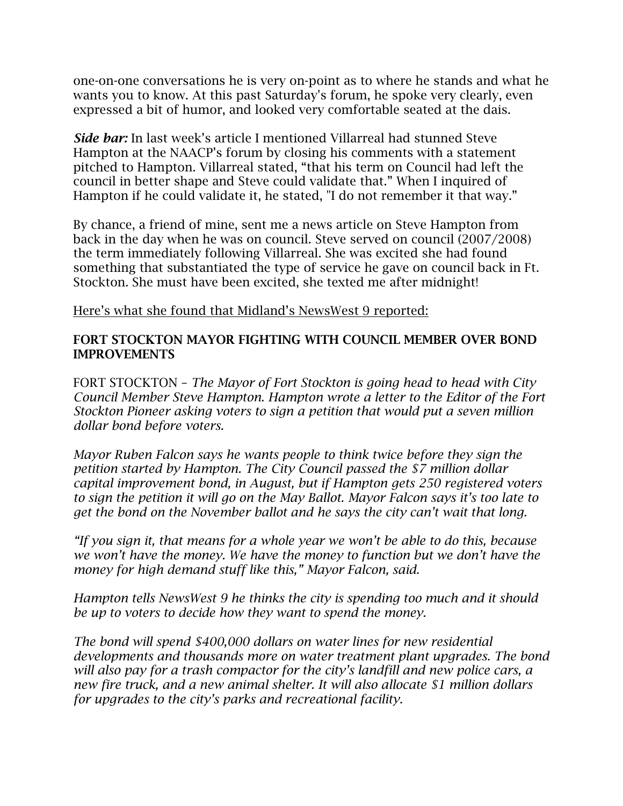one-on-one conversations he is very on-point as to where he stands and what he wants you to know. At this past Saturday's forum, he spoke very clearly, even expressed a bit of humor, and looked very comfortable seated at the dais.

*Side bar:* In last week's article I mentioned Villarreal had stunned Steve Hampton at the NAACP's forum by closing his comments with a statement pitched to Hampton. Villarreal stated, "that his term on Council had left the council in better shape and Steve could validate that." When I inquired of Hampton if he could validate it, he stated, "I do not remember it that way."

By chance, a friend of mine, sent me a news article on Steve Hampton from back in the day when he was on council. Steve served on council (2007/2008) the term immediately following Villarreal. She was excited she had found something that substantiated the type of service he gave on council back in Ft. Stockton. She must have been excited, she texted me after midnight!

Here's what she found that Midland's NewsWest 9 reported:

#### **FORT STOCKTON MAYOR FIGHTING WITH COUNCIL MEMBER OVER BOND IMPROVEMENTS**

FORT STOCKTON – *The Mayor of Fort Stockton is going head to head with City Council Member Steve Hampton. Hampton wrote a letter to the Editor of the Fort Stockton Pioneer asking voters to sign a petition that would put a seven million dollar bond before voters.*

*Mayor Ruben Falcon says he wants people to think twice before they sign the petition started by Hampton. The City Council passed the \$7 million dollar capital improvement bond, in August, but if Hampton gets 250 registered voters to sign the petition it will go on the May Ballot. Mayor Falcon says it's too late to get the bond on the November ballot and he says the city can't wait that long.*

*"If you sign it, that means for a whole year we won't be able to do this, because we won't have the money. We have the money to function but we don't have the money for high demand stuff like this," Mayor Falcon, said.*

*Hampton tells NewsWest 9 he thinks the city is spending too much and it should be up to voters to decide how they want to spend the money.*

*The bond will spend \$400,000 dollars on water lines for new residential developments and thousands more on water treatment plant upgrades. The bond will also pay for a trash compactor for the city's landfill and new police cars, a new fire truck, and a new animal shelter. It will also allocate \$1 million dollars for upgrades to the city's parks and recreational facility.*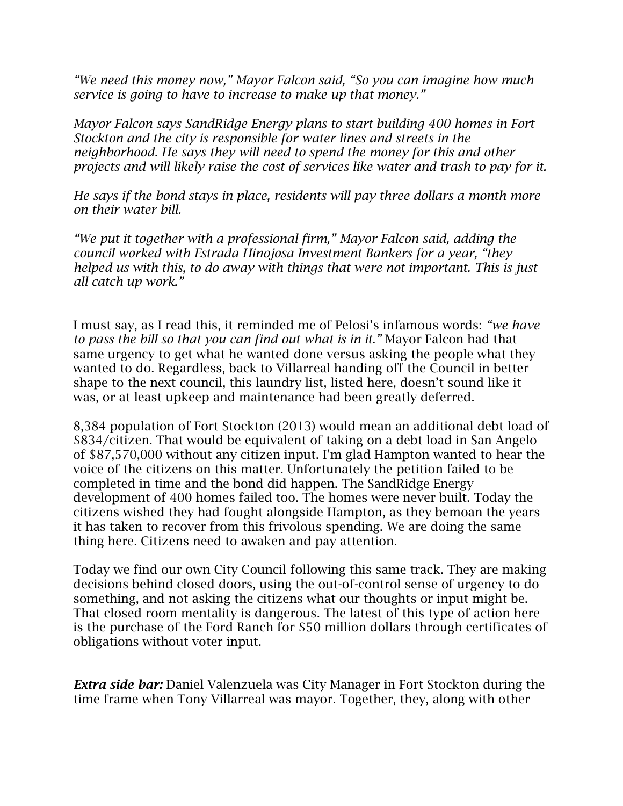*"We need this money now," Mayor Falcon said, "So you can imagine how much service is going to have to increase to make up that money."*

*Mayor Falcon says SandRidge Energy plans to start building 400 homes in Fort Stockton and the city is responsible for water lines and streets in the neighborhood. He says they will need to spend the money for this and other projects and will likely raise the cost of services like water and trash to pay for it.*

*He says if the bond stays in place, residents will pay three dollars a month more on their water bill.*

*"We put it together with a professional firm," Mayor Falcon said, adding the council worked with Estrada Hinojosa Investment Bankers for a year, "they helped us with this, to do away with things that were not important. This is just all catch up work."*

I must say, as I read this, it reminded me of Pelosi's infamous words: *"we have to pass the bill so that you can find out what is in it."* Mayor Falcon had that same urgency to get what he wanted done versus asking the people what they wanted to do. Regardless, back to Villarreal handing off the Council in better shape to the next council, this laundry list, listed here, doesn't sound like it was, or at least upkeep and maintenance had been greatly deferred.

8,384 population of Fort Stockton (2013) would mean an additional debt load of \$834/citizen. That would be equivalent of taking on a debt load in San Angelo of \$87,570,000 without any citizen input. I'm glad Hampton wanted to hear the voice of the citizens on this matter. Unfortunately the petition failed to be completed in time and the bond did happen. The SandRidge Energy development of 400 homes failed too. The homes were never built. Today the citizens wished they had fought alongside Hampton, as they bemoan the years it has taken to recover from this frivolous spending. We are doing the same thing here. Citizens need to awaken and pay attention.

Today we find our own City Council following this same track. They are making decisions behind closed doors, using the out-of-control sense of urgency to do something, and not asking the citizens what our thoughts or input might be. That closed room mentality is dangerous. The latest of this type of action here is the purchase of the Ford Ranch for \$50 million dollars through certificates of obligations without voter input.

*Extra side bar:* Daniel Valenzuela was City Manager in Fort Stockton during the time frame when Tony Villarreal was mayor. Together, they, along with other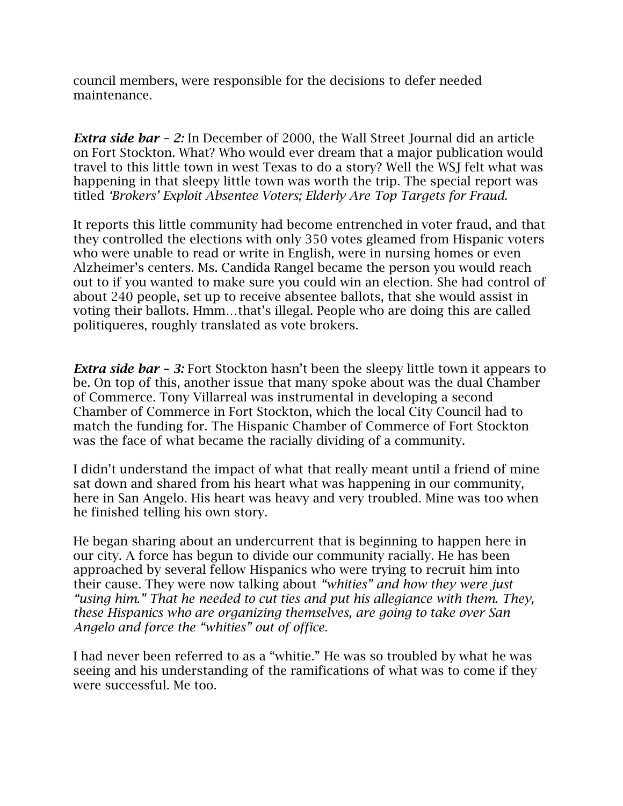council members, were responsible for the decisions to defer needed maintenance.

*Extra side bar – 2:* In December of 2000, the Wall Street Journal did an article on Fort Stockton. What? Who would ever dream that a major publication would travel to this little town in west Texas to do a story? Well the WSJ felt what was happening in that sleepy little town was worth the trip. The special report was titled *'Brokers' Exploit Absentee Voters; Elderly Are Top Targets for Fraud.*

It reports this little community had become entrenched in voter fraud, and that they controlled the elections with only 350 votes gleamed from Hispanic voters who were unable to read or write in English, were in nursing homes or even Alzheimer's centers. Ms. Candida Rangel became the person you would reach out to if you wanted to make sure you could win an election. She had control of about 240 people, set up to receive absentee ballots, that she would assist in voting their ballots. Hmm…that's illegal. People who are doing this are called politiqueres, roughly translated as vote brokers.

*Extra side bar – 3:* Fort Stockton hasn't been the sleepy little town it appears to be. On top of this, another issue that many spoke about was the dual Chamber of Commerce. Tony Villarreal was instrumental in developing a second Chamber of Commerce in Fort Stockton, which the local City Council had to match the funding for. The Hispanic Chamber of Commerce of Fort Stockton was the face of what became the racially dividing of a community.

I didn't understand the impact of what that really meant until a friend of mine sat down and shared from his heart what was happening in our community, here in San Angelo. His heart was heavy and very troubled. Mine was too when he finished telling his own story.

He began sharing about an undercurrent that is beginning to happen here in our city. A force has begun to divide our community racially. He has been approached by several fellow Hispanics who were trying to recruit him into their cause. They were now talking about *"whities" and how they were just "using him." That he needed to cut ties and put his allegiance with them. They, these Hispanics who are organizing themselves, are going to take over San Angelo and force the "whities" out of office.*

I had never been referred to as a "whitie." He was so troubled by what he was seeing and his understanding of the ramifications of what was to come if they were successful. Me too.